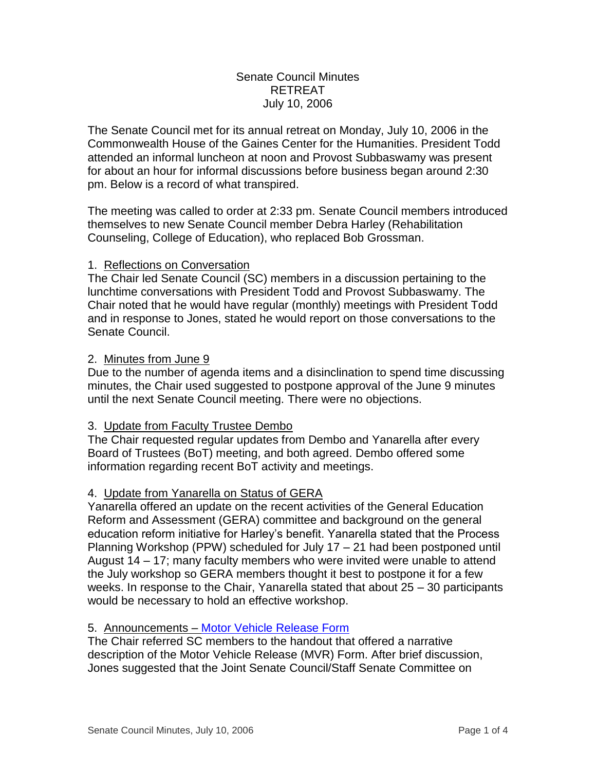# Senate Council Minutes RETREAT July 10, 2006

The Senate Council met for its annual retreat on Monday, July 10, 2006 in the Commonwealth House of the Gaines Center for the Humanities. President Todd attended an informal luncheon at noon and Provost Subbaswamy was present for about an hour for informal discussions before business began around 2:30 pm. Below is a record of what transpired.

The meeting was called to order at 2:33 pm. Senate Council members introduced themselves to new Senate Council member Debra Harley (Rehabilitation Counseling, College of Education), who replaced Bob Grossman.

# 1. Reflections on Conversation

The Chair led Senate Council (SC) members in a discussion pertaining to the lunchtime conversations with President Todd and Provost Subbaswamy. The Chair noted that he would have regular (monthly) meetings with President Todd and in response to Jones, stated he would report on those conversations to the Senate Council.

# 2. Minutes from June 9

Due to the number of agenda items and a disinclination to spend time discussing minutes, the Chair used suggested to postpone approval of the June 9 minutes until the next Senate Council meeting. There were no objections.

# 3. Update from Faculty Trustee Dembo

The Chair requested regular updates from Dembo and Yanarella after every Board of Trustees (BoT) meeting, and both agreed. Dembo offered some information regarding recent BoT activity and meetings.

# 4. Update from Yanarella on Status of GERA

Yanarella offered an update on the recent activities of the General Education Reform and Assessment (GERA) committee and background on the general education reform initiative for Harley's benefit. Yanarella stated that the Process Planning Workshop (PPW) scheduled for July 17 – 21 had been postponed until August 14 – 17; many faculty members who were invited were unable to attend the July workshop so GERA members thought it best to postpone it for a few weeks. In response to the Chair, Yanarella stated that about 25 – 30 participants would be necessary to hold an effective workshop.

# 5. Announcements – [Motor Vehicle Release Form](http://www.uky.edu/USC/New/files/20060710/Retreat_Motor%20Vehicle%20Release.pdf)

The Chair referred SC members to the handout that offered a narrative description of the Motor Vehicle Release (MVR) Form. After brief discussion, Jones suggested that the Joint Senate Council/Staff Senate Committee on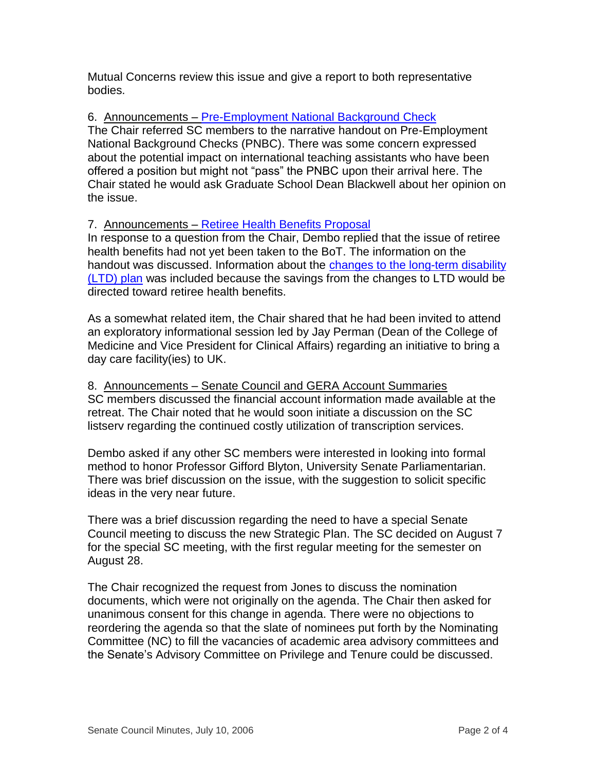Mutual Concerns review this issue and give a report to both representative bodies.

# 6. Announcements - [Pre-Employment National Background Check](http://www.uky.edu/USC/New/files/20060710/Retreat_PNBC.pdf)

The Chair referred SC members to the narrative handout on Pre-Employment National Background Checks (PNBC). There was some concern expressed about the potential impact on international teaching assistants who have been offered a position but might not "pass" the PNBC upon their arrival here. The Chair stated he would ask Graduate School Dean Blackwell about her opinion on the issue.

# 7. Announcements – [Retiree Health Benefits Proposal](http://www.uky.edu/USC/New/files/20060710/Retreat_RHB.pdf)

In response to a question from the Chair, Dembo replied that the issue of retiree health benefits had not yet been taken to the BoT. The information on the handout was discussed. Information about the changes to the long-term disability [\(LTD\) plan](http://www.uky.edu/USC/New/files/20060710/Retreat_LTD_hrcr1.pdf) was included because the savings from the changes to LTD would be directed toward retiree health benefits.

As a somewhat related item, the Chair shared that he had been invited to attend an exploratory informational session led by Jay Perman (Dean of the College of Medicine and Vice President for Clinical Affairs) regarding an initiative to bring a day care facility(ies) to UK.

8. Announcements – Senate Council and GERA Account Summaries SC members discussed the financial account information made available at the retreat. The Chair noted that he would soon initiate a discussion on the SC listserv regarding the continued costly utilization of transcription services.

Dembo asked if any other SC members were interested in looking into formal method to honor Professor Gifford Blyton, University Senate Parliamentarian. There was brief discussion on the issue, with the suggestion to solicit specific ideas in the very near future.

There was a brief discussion regarding the need to have a special Senate Council meeting to discuss the new Strategic Plan. The SC decided on August 7 for the special SC meeting, with the first regular meeting for the semester on August 28.

The Chair recognized the request from Jones to discuss the nomination documents, which were not originally on the agenda. The Chair then asked for unanimous consent for this change in agenda. There were no objections to reordering the agenda so that the slate of nominees put forth by the Nominating Committee (NC) to fill the vacancies of academic area advisory committees and the Senate's Advisory Committee on Privilege and Tenure could be discussed.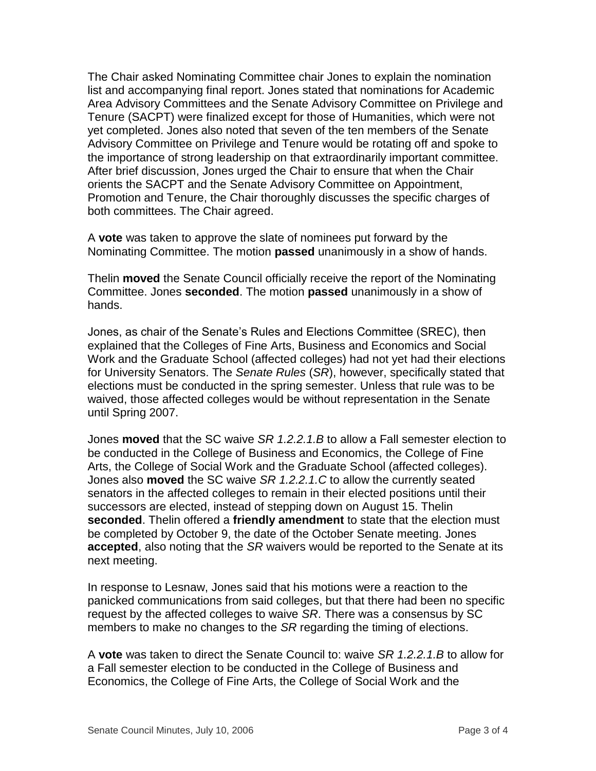The Chair asked Nominating Committee chair Jones to explain the nomination list and accompanying final report. Jones stated that nominations for Academic Area Advisory Committees and the Senate Advisory Committee on Privilege and Tenure (SACPT) were finalized except for those of Humanities, which were not yet completed. Jones also noted that seven of the ten members of the Senate Advisory Committee on Privilege and Tenure would be rotating off and spoke to the importance of strong leadership on that extraordinarily important committee. After brief discussion, Jones urged the Chair to ensure that when the Chair orients the SACPT and the Senate Advisory Committee on Appointment, Promotion and Tenure, the Chair thoroughly discusses the specific charges of both committees. The Chair agreed.

A **vote** was taken to approve the slate of nominees put forward by the Nominating Committee. The motion **passed** unanimously in a show of hands.

Thelin **moved** the Senate Council officially receive the report of the Nominating Committee. Jones **seconded**. The motion **passed** unanimously in a show of hands.

Jones, as chair of the Senate's Rules and Elections Committee (SREC), then explained that the Colleges of Fine Arts, Business and Economics and Social Work and the Graduate School (affected colleges) had not yet had their elections for University Senators. The *Senate Rules* (*SR*), however, specifically stated that elections must be conducted in the spring semester. Unless that rule was to be waived, those affected colleges would be without representation in the Senate until Spring 2007.

Jones **moved** that the SC waive *SR 1.2.2.1.B* to allow a Fall semester election to be conducted in the College of Business and Economics, the College of Fine Arts, the College of Social Work and the Graduate School (affected colleges). Jones also **moved** the SC waive *SR 1.2.2.1.C* to allow the currently seated senators in the affected colleges to remain in their elected positions until their successors are elected, instead of stepping down on August 15. Thelin **seconded**. Thelin offered a **friendly amendment** to state that the election must be completed by October 9, the date of the October Senate meeting. Jones **accepted**, also noting that the *SR* waivers would be reported to the Senate at its next meeting.

In response to Lesnaw, Jones said that his motions were a reaction to the panicked communications from said colleges, but that there had been no specific request by the affected colleges to waive *SR*. There was a consensus by SC members to make no changes to the *SR* regarding the timing of elections.

A **vote** was taken to direct the Senate Council to: waive *SR 1.2.2.1.B* to allow for a Fall semester election to be conducted in the College of Business and Economics, the College of Fine Arts, the College of Social Work and the